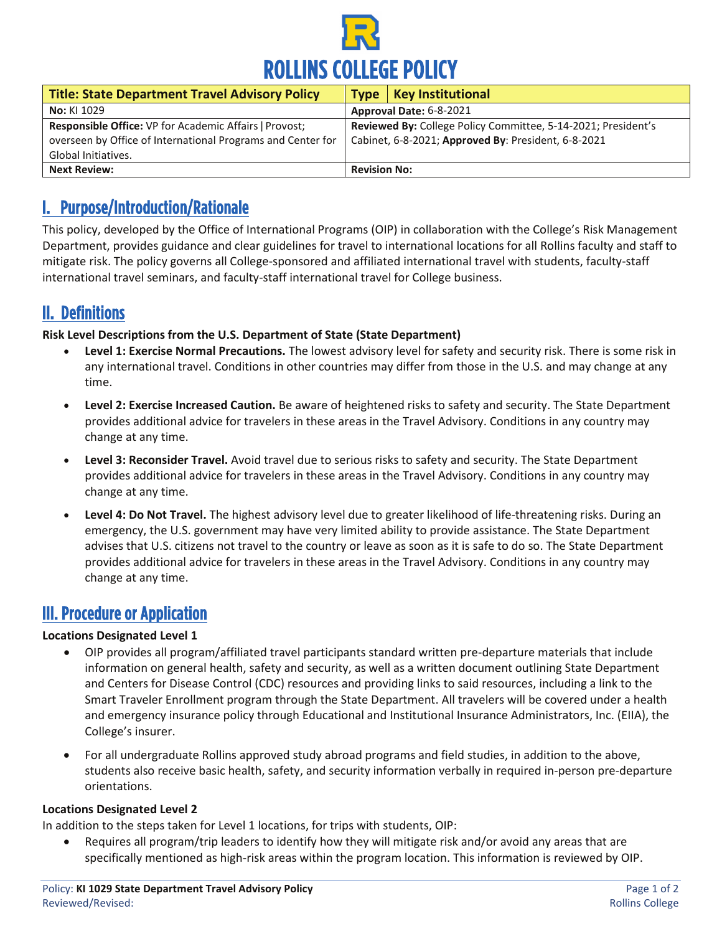

| <b>Title: State Department Travel Advisory Policy</b>       | <b>Key Institutional</b><br><b>Type</b>                       |
|-------------------------------------------------------------|---------------------------------------------------------------|
| <b>No: KI 1029</b>                                          | Approval Date: 6-8-2021                                       |
| Responsible Office: VP for Academic Affairs   Provost;      | Reviewed By: College Policy Committee, 5-14-2021; President's |
| overseen by Office of International Programs and Center for | Cabinet, 6-8-2021; Approved By: President, 6-8-2021           |
| Global Initiatives.                                         |                                                               |
| <b>Next Review:</b>                                         | <b>Revision No:</b>                                           |

# I. Purpose/Introduction/Rationale

This policy, developed by the Office of International Programs (OIP) in collaboration with the College's Risk Management Department, provides guidance and clear guidelines for travel to international locations for all Rollins faculty and staff to mitigate risk. The policy governs all College-sponsored and affiliated international travel with students, faculty-staff international travel seminars, and faculty-staff international travel for College business.

# II. Definitions

#### **Risk Level Descriptions from the U.S. Department of State (State Department)**

- **Level 1: Exercise Normal Precautions.** The lowest advisory level for safety and security risk. There is some risk in any international travel. Conditions in other countries may differ from those in the U.S. and may change at any time.
- **Level 2: Exercise Increased Caution.** Be aware of heightened risks to safety and security. The State Department provides additional advice for travelers in these areas in the Travel Advisory. Conditions in any country may change at any time.
- **Level 3: Reconsider Travel.** Avoid travel due to serious risks to safety and security. The State Department provides additional advice for travelers in these areas in the Travel Advisory. Conditions in any country may change at any time.
- **Level 4: Do Not Travel.** The highest advisory level due to greater likelihood of life-threatening risks. During an emergency, the U.S. government may have very limited ability to provide assistance. The State Department advises that U.S. citizens not travel to the country or leave as soon as it is safe to do so. The State Department provides additional advice for travelers in these areas in the Travel Advisory. Conditions in any country may change at any time.

# III. Procedure or Application

#### **Locations Designated Level 1**

- OIP provides all program/affiliated travel participants standard written pre-departure materials that include information on general health, safety and security, as well as a written document outlining State Department and Centers for Disease Control (CDC) resources and providing links to said resources, including a link to the Smart Traveler Enrollment program through the State Department. All travelers will be covered under a health and emergency insurance policy through Educational and Institutional Insurance Administrators, Inc. (EIIA), the College's insurer.
- For all undergraduate Rollins approved study abroad programs and field studies, in addition to the above, students also receive basic health, safety, and security information verbally in required in-person pre-departure orientations.

#### **Locations Designated Level 2**

In addition to the steps taken for Level 1 locations, for trips with students, OIP:

• Requires all program/trip leaders to identify how they will mitigate risk and/or avoid any areas that are specifically mentioned as high-risk areas within the program location. This information is reviewed by OIP.